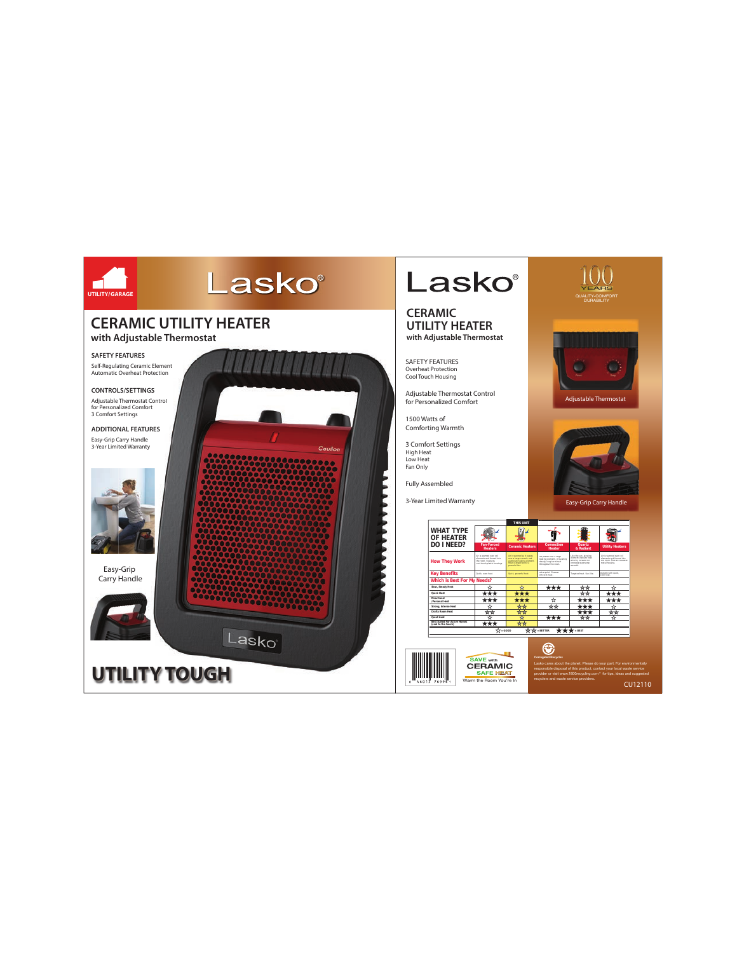